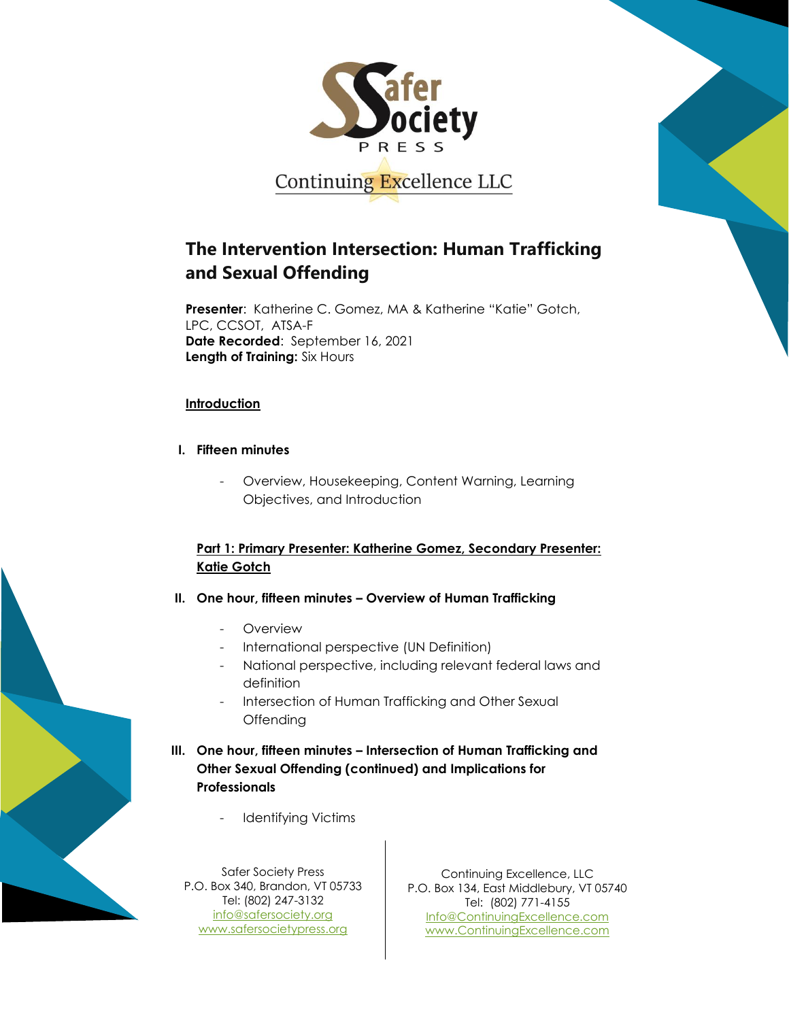

# **The Intervention Intersection: Human Trafficking and Sexual Offending**

**Presenter**: Katherine C. Gomez, MA & Katherine "Katie" Gotch, LPC, CCSOT, ATSA-F **Date Recorded**: September 16, 2021 **Length of Training:** Six Hours

#### **Introduction**

- **I. Fifteen minutes**
	- Overview, Housekeeping, Content Warning, Learning Objectives, and Introduction

## **Part 1: Primary Presenter: Katherine Gomez, Secondary Presenter: Katie Gotch**

- **II. One hour, fifteen minutes – Overview of Human Trafficking**
	- **Overview**
	- International perspective (UN Definition)
	- National perspective, including relevant federal laws and definition
	- Intersection of Human Trafficking and Other Sexual **Offending**
- **III. One hour, fifteen minutes – Intersection of Human Trafficking and Other Sexual Offending (continued) and Implications for Professionals**
	- Identifying Victims

Safer Society Press P.O. Box 340, Brandon, VT 05733 Tel: (802) 247-3132 [info@safersociety.org](mailto:info@safersociety.org) [www.safersocietypress.org](http://www.safersocietypress.org/)

Continuing Excellence, LLC P.O. Box 134, East Middlebury, VT 05740 Tel: (802) 771-4155 [Info@ContinuingExcellence.com](mailto:Info@ContinuingExcellence.com) [www.ContinuingExcellence.com](http://www.continuingexcellence.com/)